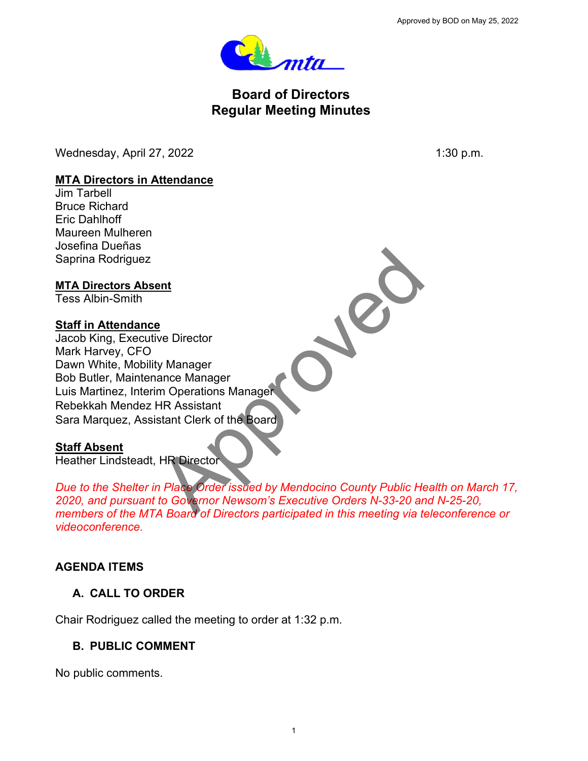

# **Board of Directors Regular Meeting Minutes**

Wednesday, April 27, 2022 1:30 p.m.

#### **MTA Directors in Attendance**

Jim Tarbell Bruce Richard Eric Dahlhoff Maureen Mulheren Josefina Dueñas Saprina Rodriguez

### **MTA Directors Absent**

Tess Albin-Smith

### **Staff in Attendance**

Jacob King, Executive Director Mark Harvey, CFO Dawn White, Mobility Manager Bob Butler, Maintenance Manager Luis Martinez, Interim Operations Manager Rebekkah Mendez HR Assistant Sara Marquez, Assistant Clerk of the Board Primaries Director<br>
Manager<br>
Manager<br>
HR Assistant<br>
Stant Clerk of the Board<br>
HR Director<br>
The Director<br>
The Director<br>
The Covernor Newson's Executive Orders N-33-20 and<br>
A Board of Directors naticipated in this meeting vi

#### **Staff Absent**

Heather Lindsteadt, HR Director

*Due to the Shelter in Place Order issued by Mendocino County Public Health on March 17, 2020, and pursuant to Governor Newsom's Executive Orders N-33-20 and N-25-20, members of the MTA Board of Directors participated in this meeting via teleconference or videoconference.* Approved by BOD on May 25, 2022 1

## **AGENDA ITEMS**

## **A. CALL TO ORDER**

Chair Rodriguez called the meeting to order at 1:32 p.m.

## **B. PUBLIC COMMENT**

No public comments.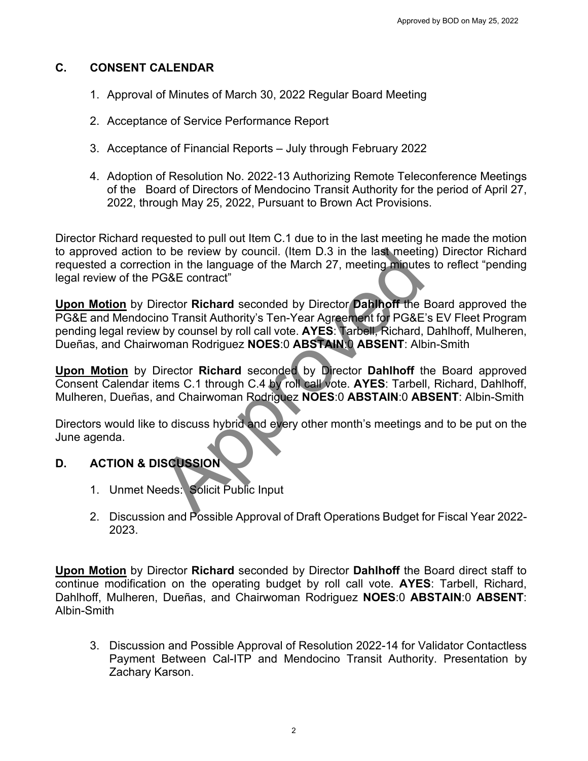### **C. CONSENT CALENDAR**

- 1. Approval of Minutes of March 30, 2022 Regular Board Meeting
- 2. Acceptance of Service Performance Report
- 3. Acceptance of Financial Reports July through February 2022
- 4. Adoption of Resolution No. 2022‐13 Authorizing Remote Teleconference Meetings of the Board of Directors of Mendocino Transit Authority for the period of April 27, 2022, through May 25, 2022, Pursuant to Brown Act Provisions.

Director Richard requested to pull out Item C.1 due to in the last meeting he made the motion to approved action to be review by council. (Item D.3 in the last meeting) Director Richard requested a correction in the language of the March 27, meeting minutes to reflect "pending legal review of the PG&E contract"

**Upon Motion** by Director **Richard** seconded by Director **Dahlhoff** the Board approved the PG&E and Mendocino Transit Authority's Ten-Year Agreement for PG&E's EV Fleet Program pending legal review by counsel by roll call vote. **AYES**: Tarbell, Richard, Dahlhoff, Mulheren, Dueñas, and Chairwoman Rodriguez **NOES**:0 **ABSTAIN**:0 **ABSENT**: Albin-Smith to be review by council. (Item D.3 in the last meetir<br>
Your in the language of the March 27, meeting minute:<br>
Your Caster contract"<br>
Frector Richard seconded by Director Dahlhoff the I<br>
no Transit Authority's Ten-Year Agre

**Upon Motion** by Director **Richard** seconded by Director **Dahlhoff** the Board approved Consent Calendar items C.1 through C.4 by roll call vote. **AYES**: Tarbell, Richard, Dahlhoff, Mulheren, Dueñas, and Chairwoman Rodriguez **NOES**:0 **ABSTAIN**:0 **ABSENT**: Albin-Smith

Directors would like to discuss hybrid and every other month's meetings and to be put on the June agenda.

## **D. ACTION & DISCUSSION**

- 1. Unmet Needs: Solicit Public Input
- 2. Discussion and Possible Approval of Draft Operations Budget for Fiscal Year 2022- 2023.

**Upon Motion** by Director **Richard** seconded by Director **Dahlhoff** the Board direct staff to continue modification on the operating budget by roll call vote. **AYES**: Tarbell, Richard, Dahlhoff, Mulheren, Dueñas, and Chairwoman Rodriguez **NOES**:0 **ABSTAIN**:0 **ABSENT**: Albin-Smith Approved by BOD on May 25, 2022<br>
22 Regular Board Meeting<br>
Report<br>
Authorizing Remote Teleconference Meeting<br>
Authorizing Remote Teleconference Meeting<br>
2010<br>
2010 Transit Authority for the period of April 21<br>
21 Int to Br

3. Discussion and Possible Approval of Resolution 2022-14 for Validator Contactless Payment Between Cal-ITP and Mendocino Transit Authority. Presentation by Zachary Karson.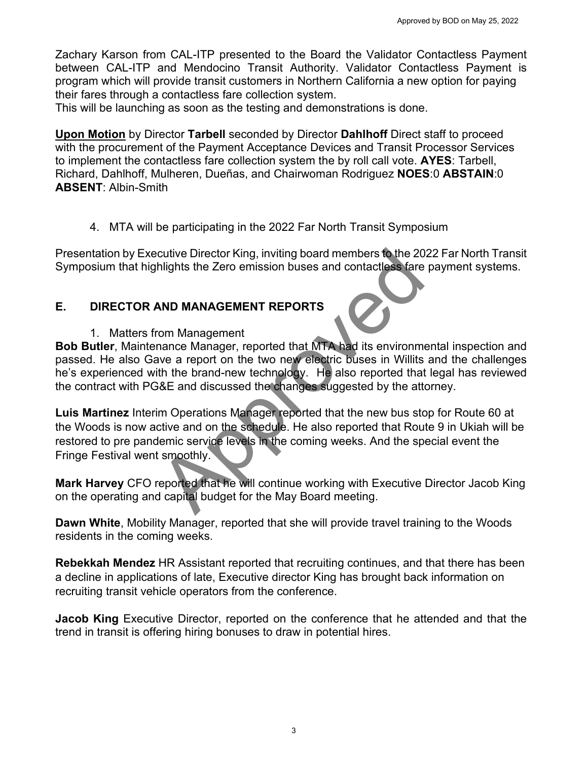Zachary Karson from CAL-ITP presented to the Board the Validator Contactless Payment between CAL-ITP and Mendocino Transit Authority. Validator Contactless Payment is program which will provide transit customers in Northern California a new option for paying their fares through a contactless fare collection system.

This will be launching as soon as the testing and demonstrations is done.

**Upon Motion** by Director **Tarbell** seconded by Director **Dahlhoff** Direct staff to proceed with the procurement of the Payment Acceptance Devices and Transit Processor Services to implement the contactless fare collection system the by roll call vote. **AYES**: Tarbell, Richard, Dahlhoff, Mulheren, Dueñas, and Chairwoman Rodriguez **NOES**:0 **ABSTAIN**:0 **ABSENT**: Albin-Smith Approved by BOD on May 25, 2022<br>Approved by BOD on May 25, 2022<br>Authority. Validator Contactless Payment in<br>Northern California a new option for paying<br>any Northern California a new option for paying<br>any Stem.<br>Director **Da** 

4. MTA will be participating in the 2022 Far North Transit Symposium

Presentation by Executive Director King, inviting board members to the 2022 Far North Transit Symposium that highlights the Zero emission buses and contactless fare payment systems.

## **E. DIRECTOR AND MANAGEMENT REPORTS**

1. Matters from Management

**Bob Butler**, Maintenance Manager, reported that MTA had its environmental inspection and passed. He also Gave a report on the two new electric buses in Willits and the challenges he's experienced with the brand-new technology. He also reported that legal has reviewed the contract with PG&E and discussed the changes suggested by the attorney.

**Luis Martinez** Interim Operations Manager reported that the new bus stop for Route 60 at the Woods is now active and on the schedule. He also reported that Route 9 in Ukiah will be restored to pre pandemic service levels in the coming weeks. And the special event the Fringe Festival went smoothly. cutive Director King, inviting board members to the 20<br>hlights the Zero emission buses and contactless fare<br>**AND MANAGEMENT REPORTS**<br>**COMPONTS**<br>TOM Management<br>annone Manager, reported that MTA had its environment<br>in the br

**Mark Harvey** CFO reported that he will continue working with Executive Director Jacob King on the operating and capital budget for the May Board meeting.

**Dawn White**, Mobility Manager, reported that she will provide travel training to the Woods residents in the coming weeks.

**Rebekkah Mendez** HR Assistant reported that recruiting continues, and that there has been a decline in applications of late, Executive director King has brought back information on recruiting transit vehicle operators from the conference.

**Jacob King** Executive Director, reported on the conference that he attended and that the trend in transit is offering hiring bonuses to draw in potential hires.